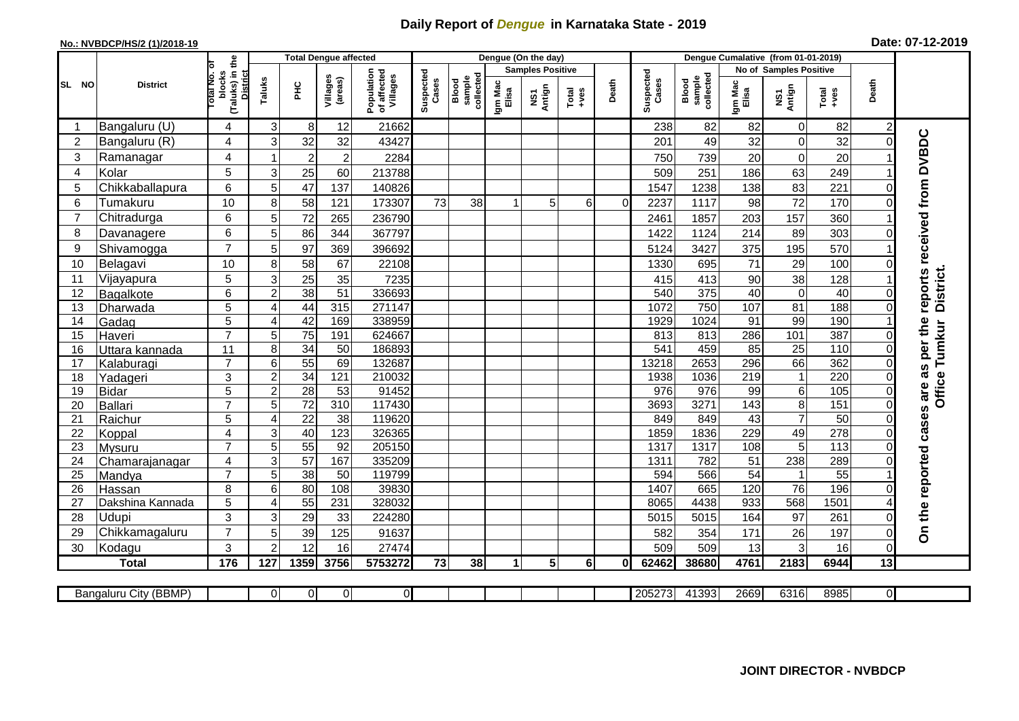## **Daily Report of** *Dengue* **in Karnataka State - 2019**

## **No.: NVBDCP/HS/2 (1)/2018-19 Date: 07-12-2019**

|                |                       |                                                             | <b>Total Dengue affected</b> |                       |                     |                                       |                    |                              |                      | Dengue (On the day)     |                  |          |                    |                              |                        |                        |                  |          |                             |
|----------------|-----------------------|-------------------------------------------------------------|------------------------------|-----------------------|---------------------|---------------------------------------|--------------------|------------------------------|----------------------|-------------------------|------------------|----------|--------------------|------------------------------|------------------------|------------------------|------------------|----------|-----------------------------|
|                |                       |                                                             |                              |                       |                     |                                       |                    |                              |                      | <b>Samples Positive</b> |                  |          |                    |                              |                        | No of Samples Positive |                  |          |                             |
| SL NO          | <b>District</b>       | (Taluks) in the<br>otal No. of<br>blocks<br><b>District</b> | Taluks                       | Ξ                     | Villages<br>(areas) | Population<br>of affected<br>Villages | Suspected<br>Cases | sample<br>collected<br>Blood | Igm Mac<br>Elisa     | NS1<br>Antign           | $Tota$<br>$+ves$ | Death    | Suspected<br>Cases | sample<br>collected<br>Blood | Igm Mac<br>Elisa       | NS1<br>Antign          | Total<br>$+ve$ s | Death    |                             |
| -1             | Bangaluru (U)         | 4                                                           | 3                            | 8 <sup>1</sup>        | 12                  | 21662                                 |                    |                              |                      |                         |                  |          | 238                | 82                           | 82                     | $\mathbf 0$            | 82               | 2        |                             |
| $\overline{2}$ | Bangaluru (R)         | 4                                                           | 3                            | 32                    | 32                  | 43427                                 |                    |                              |                      |                         |                  |          | 201                | 49                           | 32                     | $\mathbf 0$            | 32               | $\Omega$ |                             |
| 3              | Ramanagar             | 4                                                           | $\overline{\mathbf{1}}$      | $\boldsymbol{2}$      | $\overline{2}$      | 2284                                  |                    |                              |                      |                         |                  |          | 750                | 739                          | 20                     | $\mathbf 0$            | 20               |          | reports received from DVBDC |
| 4              | Kolar                 | 5                                                           | 3                            | 25                    | 60                  | 213788                                |                    |                              |                      |                         |                  |          | 509                | 251                          | 186                    | 63                     | 249              |          |                             |
| 5              | Chikkaballapura       | 6                                                           | 5                            | 47                    | 137                 | 140826                                |                    |                              |                      |                         |                  |          | 1547               | 1238                         | 138                    | 83                     | 221              | $\Omega$ |                             |
| 6              | Tumakuru              | 10                                                          | 8                            | 58                    | 121                 | 173307                                | 73                 | 38                           | $\blacktriangleleft$ | 5                       | 6                | $\Omega$ | 2237               | 1117                         | 98                     | 72                     | 170              | $\Omega$ |                             |
| $\overline{7}$ | Chitradurga           | 6                                                           | 5                            | 72                    | 265                 | 236790                                |                    |                              |                      |                         |                  |          | 2461               | 1857                         | 203                    | 157                    | 360              |          |                             |
| 8              | Davanagere            | 6                                                           | 5                            | 86                    | 344                 | 367797                                |                    |                              |                      |                         |                  |          | 1422               | 1124                         | 214                    | 89                     | 303              | $\Omega$ |                             |
| 9              | Shivamogga            | $\overline{7}$                                              | 5                            | 97                    | 369                 | 396692                                |                    |                              |                      |                         |                  |          | 5124               | 3427                         | 375                    | 195                    | 570              |          |                             |
| 10             | Belagavi              | 10                                                          | 8                            | 58                    | 67                  | 22108                                 |                    |                              |                      |                         |                  |          | 1330               | 695                          | 71                     | 29                     | 100              |          |                             |
| 11             | Vijayapura            | 5                                                           | 3                            | 25                    | 35                  | 7235                                  |                    |                              |                      |                         |                  |          | 415                | 413                          | 90                     | 38                     | 128              |          | District.                   |
| 12             | <b>Bagalkote</b>      | 6                                                           | $\overline{2}$               | 38                    | 51                  | 336693                                |                    |                              |                      |                         |                  |          | 540                | 375                          | 40                     | $\mathbf 0$            | 40               | $\Omega$ |                             |
| 13             | Dharwada              | 5                                                           | 4                            | 44                    | 315                 | 271147                                |                    |                              |                      |                         |                  |          | 1072               | 750                          | 107                    | 81                     | 188              | $\Omega$ |                             |
| 14             | Gadag                 | $\overline{5}$                                              | 4                            | 42                    | 169                 | 338959                                |                    |                              |                      |                         |                  |          | 1929               | 1024                         | 91                     | 99                     | 190              |          |                             |
| 15             | Haveri                | $\overline{7}$                                              | 5                            | 75                    | 191                 | 624667                                |                    |                              |                      |                         |                  |          | 813                | 813                          | 286                    | 101                    | 387              | 0        |                             |
| 16             | Uttara kannada        | $\overline{11}$                                             | 8                            | 34                    | $\overline{50}$     | 186893                                |                    |                              |                      |                         |                  |          | 541                | 459                          | 85                     | $\overline{25}$        | 110              | $\Omega$ | as per the<br>Tumkur        |
| 17             | Kalaburagi            | $\overline{7}$                                              | 6                            | $\overline{55}$       | 69                  | 132687                                |                    |                              |                      |                         |                  |          | 13218              | 2653                         | 296                    | 66                     | 362              | $\Omega$ |                             |
| 18             | Yadageri              | 3                                                           | $\overline{c}$               | 34                    | 121                 | 210032                                |                    |                              |                      |                         |                  |          | 1938               | 1036                         | 219                    | $\mathbf{1}$           | 220              |          |                             |
| 19             | <b>Bidar</b>          | 5                                                           | $\overline{c}$               | $\overline{28}$       | 53                  | 91452                                 |                    |                              |                      |                         |                  |          | 976                | $\overline{976}$             | 99                     | $\,6$                  | 105              | 0        | <b>Office</b>               |
| 20             | <b>Ballari</b>        | $\overline{7}$                                              | 5                            | 72                    | $\overline{310}$    | 117430                                |                    |                              |                      |                         |                  |          | 3693               | 3271                         | 143                    | $\overline{8}$         | 151              | $\Omega$ |                             |
| 21             | Raichur               | $\overline{5}$                                              | 4                            | $\overline{22}$       | $\overline{38}$     | 119620                                |                    |                              |                      |                         |                  |          | 849                | 849                          | 43                     | $\overline{7}$         | 50               | $\Omega$ |                             |
| 22             | Koppal                | 4                                                           | 3                            | 40                    | 123                 | 326365                                |                    |                              |                      |                         |                  |          | 1859               | 1836                         | 229                    | 49                     | 278              | $\Omega$ |                             |
| 23<br>24       | Mysuru                | $\overline{7}$                                              | 5<br>3                       | $\overline{55}$<br>57 | 92<br>167           | 205150                                |                    |                              |                      |                         |                  |          | 1317               | 1317<br>782                  | 108<br>$\overline{51}$ | 5<br>238               | 113<br>289       | 0        |                             |
| 25             | Chamarajanagar        | 4<br>$\overline{7}$                                         | 5                            | 38                    | 50                  | 335209<br>119799                      |                    |                              |                      |                         |                  |          | 1311<br>594        | 566                          | $\overline{54}$        | $\mathbf{1}$           | $\overline{55}$  |          |                             |
| 26             | Mandya<br>Hassan      | 8                                                           | 6                            | 80                    | 108                 | 39830                                 |                    |                              |                      |                         |                  |          | 1407               | 665                          | 120                    | $\overline{76}$        | 196              | $\Omega$ |                             |
| 27             | Dakshina Kannada      | 5                                                           | 4                            | 55                    | 231                 | 328032                                |                    |                              |                      |                         |                  |          | 8065               | 4438                         | 933                    | 568                    | 1501             |          |                             |
| 28             | Udupi                 | 3                                                           | 3                            | 29                    | 33                  | 224280                                |                    |                              |                      |                         |                  |          | 5015               | 5015                         | 164                    | 97                     | 261              | $\Omega$ | On the reported cases are   |
| 29             | Chikkamagaluru        | $\overline{7}$                                              | 5                            | 39                    | 125                 | 91637                                 |                    |                              |                      |                         |                  |          | 582                | 354                          | 171                    | 26                     | 197              | $\Omega$ |                             |
| 30             | Kodagu                | 3                                                           | $\mathcal{P}$                | 12                    | 16                  | 27474                                 |                    |                              |                      |                         |                  |          | 509                | 509                          | 13                     | 3                      | 16               | $\Omega$ |                             |
|                | <b>Total</b>          | 176                                                         | 127                          | 1359                  | 3756                | 5753272                               | 73                 | 38                           | 1                    | 5                       | 6 <sup>1</sup>   | 01       | 62462              | 38680                        | 4761                   | 2183                   | 6944             | 13       |                             |
|                |                       |                                                             |                              |                       |                     |                                       |                    |                              |                      |                         |                  |          |                    |                              |                        |                        |                  |          |                             |
|                | Bangaluru City (BBMP) |                                                             | $\Omega$                     | ΟI                    | $\overline{0}$      | ΟI                                    |                    |                              |                      |                         |                  |          | 205273             | 41393                        | 2669                   | 6316                   | 8985             | ΟI       |                             |